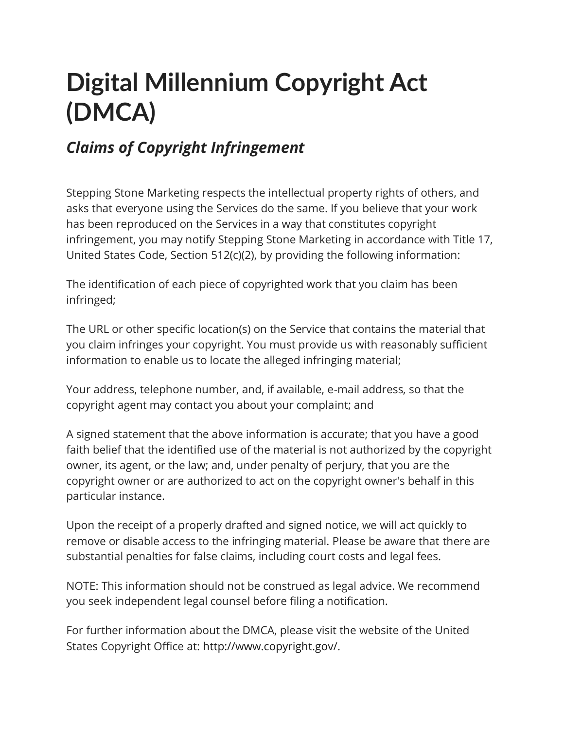# **Digital Millennium Copyright Act (DMCA)**

# *Claims of Copyright Infringement*

Stepping Stone Marketing respects the intellectual property rights of others, and asks that everyone using the Services do the same. If you believe that your work has been reproduced on the Services in a way that constitutes copyright infringement, you may notify Stepping Stone Marketing in accordance with Title 17, United States Code, Section 512(c)(2), by providing the following information:

The identification of each piece of copyrighted work that you claim has been infringed;

The URL or other specific location(s) on the Service that contains the material that you claim infringes your copyright. You must provide us with reasonably sufficient information to enable us to locate the alleged infringing material;

Your address, telephone number, and, if available, e-mail address, so that the copyright agent may contact you about your complaint; and

A signed statement that the above information is accurate; that you have a good faith belief that the identified use of the material is not authorized by the copyright owner, its agent, or the law; and, under penalty of perjury, that you are the copyright owner or are authorized to act on the copyright owner's behalf in this particular instance.

Upon the receipt of a properly drafted and signed notice, we will act quickly to remove or disable access to the infringing material. Please be aware that there are substantial penalties for false claims, including court costs and legal fees.

NOTE: This information should not be construed as legal advice. We recommend you seek independent legal counsel before filing a notification.

For further information about the DMCA, please visit the website of the United States Copyright Office at: [http://www.copyright.gov/.](http://www.copyright.gov/)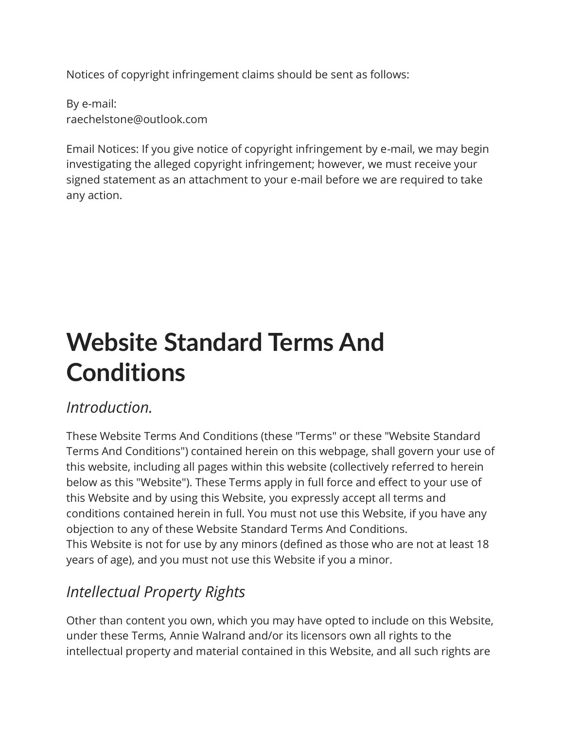Notices of copyright infringement claims should be sent as follows:

By e-mail: raechelstone@outlook.com

Email Notices: If you give notice of copyright infringement by e-mail, we may begin investigating the alleged copyright infringement; however, we must receive your signed statement as an attachment to your e-mail before we are required to take any action.

# **Website Standard Terms And Conditions**

#### *Introduction.*

These Website Terms And Conditions (these "Terms" or these "Website Standard Terms And Conditions") contained herein on this webpage, shall govern your use of this website, including all pages within this website (collectively referred to herein below as this "Website"). These Terms apply in full force and effect to your use of this Website and by using this Website, you expressly accept all terms and conditions contained herein in full. You must not use this Website, if you have any objection to any of these Website Standard Terms And Conditions. This Website is not for use by any minors (defined as those who are not at least 18 years of age), and you must not use this Website if you a minor.

# *Intellectual Property Rights*

Other than content you own, which you may have opted to include on this Website, under these Terms, Annie Walrand and/or its licensors own all rights to the intellectual property and material contained in this Website, and all such rights are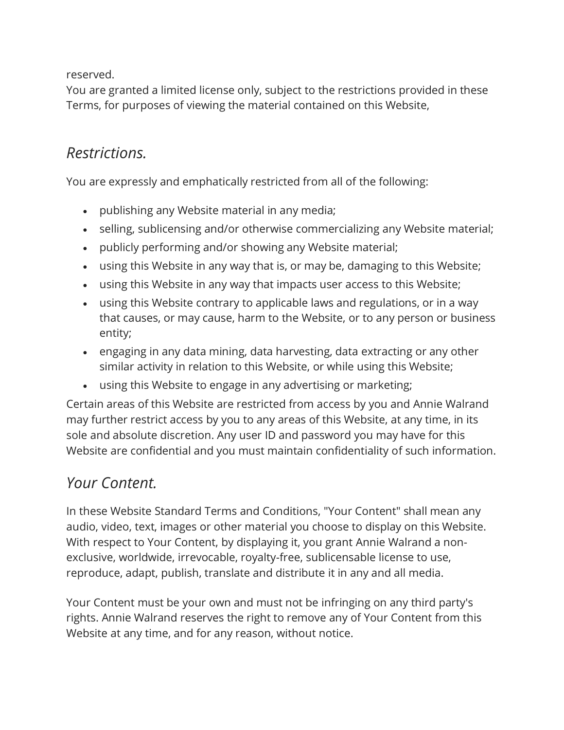reserved.

You are granted a limited license only, subject to the restrictions provided in these Terms, for purposes of viewing the material contained on this Website,

### *Restrictions.*

You are expressly and emphatically restricted from all of the following:

- publishing any Website material in any media;
- selling, sublicensing and/or otherwise commercializing any Website material;
- publicly performing and/or showing any Website material;
- using this Website in any way that is, or may be, damaging to this Website;
- using this Website in any way that impacts user access to this Website;
- using this Website contrary to applicable laws and regulations, or in a way that causes, or may cause, harm to the Website, or to any person or business entity;
- engaging in any data mining, data harvesting, data extracting or any other similar activity in relation to this Website, or while using this Website;
- using this Website to engage in any advertising or marketing;

Certain areas of this Website are restricted from access by you and Annie Walrand may further restrict access by you to any areas of this Website, at any time, in its sole and absolute discretion. Any user ID and password you may have for this Website are confidential and you must maintain confidentiality of such information.

#### *Your Content.*

In these Website Standard Terms and Conditions, "Your Content" shall mean any audio, video, text, images or other material you choose to display on this Website. With respect to Your Content, by displaying it, you grant Annie Walrand a nonexclusive, worldwide, irrevocable, royalty-free, sublicensable license to use, reproduce, adapt, publish, translate and distribute it in any and all media.

Your Content must be your own and must not be infringing on any third party's rights. Annie Walrand reserves the right to remove any of Your Content from this Website at any time, and for any reason, without notice.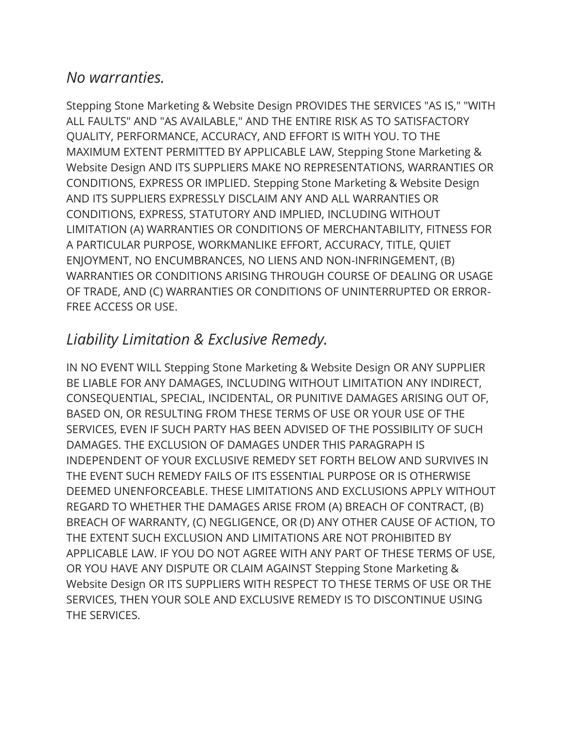#### *No warranties.*

Stepping Stone Marketing & Website Design PROVIDES THE SERVICES "AS IS," "WITH ALL FAULTS" AND "AS AVAILABLE," AND THE ENTIRE RISK AS TO SATISFACTORY QUALITY, PERFORMANCE, ACCURACY, AND EFFORT IS WITH YOU. TO THE MAXIMUM EXTENT PERMITTED BY APPLICABLE LAW, Stepping Stone Marketing & Website Design AND ITS SUPPLIERS MAKE NO REPRESENTATIONS, WARRANTIES OR CONDITIONS, EXPRESS OR IMPLIED. Stepping Stone Marketing & Website Design AND ITS SUPPLIERS EXPRESSLY DISCLAIM ANY AND ALL WARRANTIES OR CONDITIONS, EXPRESS, STATUTORY AND IMPLIED, INCLUDING WITHOUT LIMITATION (A) WARRANTIES OR CONDITIONS OF MERCHANTABILITY, FITNESS FOR A PARTICULAR PURPOSE, WORKMANLIKE EFFORT, ACCURACY, TITLE, QUIET ENJOYMENT, NO ENCUMBRANCES, NO LIENS AND NON-INFRINGEMENT, (B) WARRANTIES OR CONDITIONS ARISING THROUGH COURSE OF DEALING OR USAGE OF TRADE, AND (C) WARRANTIES OR CONDITIONS OF UNINTERRUPTED OR ERROR-FREE ACCESS OR USE.

## *Liability Limitation & Exclusive Remedy.*

IN NO EVENT WILL Stepping Stone Marketing & Website Design OR ANY SUPPLIER BE LIABLE FOR ANY DAMAGES, INCLUDING WITHOUT LIMITATION ANY INDIRECT, CONSEQUENTIAL, SPECIAL, INCIDENTAL, OR PUNITIVE DAMAGES ARISING OUT OF, BASED ON, OR RESULTING FROM THESE TERMS OF USE OR YOUR USE OF THE SERVICES, EVEN IF SUCH PARTY HAS BEEN ADVISED OF THE POSSIBILITY OF SUCH DAMAGES. THE EXCLUSION OF DAMAGES UNDER THIS PARAGRAPH IS INDEPENDENT OF YOUR EXCLUSIVE REMEDY SET FORTH BELOW AND SURVIVES IN THE EVENT SUCH REMEDY FAILS OF ITS ESSENTIAL PURPOSE OR IS OTHERWISE DEEMED UNENFORCEABLE. THESE LIMITATIONS AND EXCLUSIONS APPLY WITHOUT REGARD TO WHETHER THE DAMAGES ARISE FROM (A) BREACH OF CONTRACT, (B) BREACH OF WARRANTY, (C) NEGLIGENCE, OR (D) ANY OTHER CAUSE OF ACTION, TO THE EXTENT SUCH EXCLUSION AND LIMITATIONS ARE NOT PROHIBITED BY APPLICABLE LAW. IF YOU DO NOT AGREE WITH ANY PART OF THESE TERMS OF USE, OR YOU HAVE ANY DISPUTE OR CLAIM AGAINST Stepping Stone Marketing & Website Design OR ITS SUPPLIERS WITH RESPECT TO THESE TERMS OF USE OR THE SERVICES, THEN YOUR SOLE AND EXCLUSIVE REMEDY IS TO DISCONTINUE USING THE SERVICES.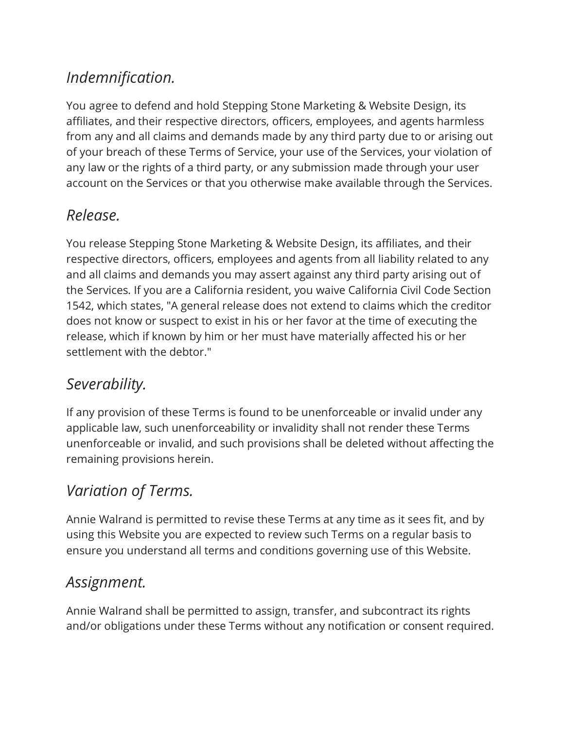# *Indemnification.*

You agree to defend and hold Stepping Stone Marketing & Website Design, its affiliates, and their respective directors, officers, employees, and agents harmless from any and all claims and demands made by any third party due to or arising out of your breach of these Terms of Service, your use of the Services, your violation of any law or the rights of a third party, or any submission made through your user account on the Services or that you otherwise make available through the Services.

## *Release.*

You release Stepping Stone Marketing & Website Design, its affiliates, and their respective directors, officers, employees and agents from all liability related to any and all claims and demands you may assert against any third party arising out of the Services. If you are a California resident, you waive California Civil Code Section 1542, which states, "A general release does not extend to claims which the creditor does not know or suspect to exist in his or her favor at the time of executing the release, which if known by him or her must have materially affected his or her settlement with the debtor."

# *Severability.*

If any provision of these Terms is found to be unenforceable or invalid under any applicable law, such unenforceability or invalidity shall not render these Terms unenforceable or invalid, and such provisions shall be deleted without affecting the remaining provisions herein.

# *Variation of Terms.*

Annie Walrand is permitted to revise these Terms at any time as it sees fit, and by using this Website you are expected to review such Terms on a regular basis to ensure you understand all terms and conditions governing use of this Website.

## *Assignment.*

Annie Walrand shall be permitted to assign, transfer, and subcontract its rights and/or obligations under these Terms without any notification or consent required.